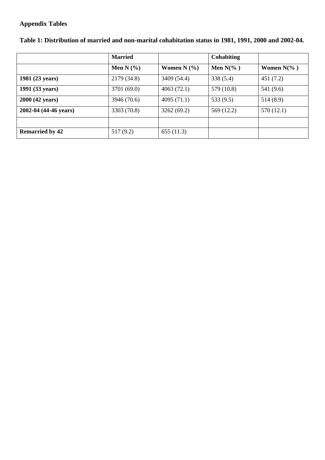#### **Appendix Tables**

|                        | <b>Married</b> |                   | <b>Cohabiting</b>    |               |
|------------------------|----------------|-------------------|----------------------|---------------|
|                        | Men N $(\% )$  | Women $N$ $(\% )$ | Men $N\frac{6}{6}$ ) | Women $N(\%)$ |
| 1981 (23 years)        | 2179 (34.8)    | 3409 (54.4)       | 338(5.4)             | 451(7.2)      |
| 1991 (33 years)        | 3701 (69.0)    | 4063(72.1)        | 579 (10.8)           | 541 (9.6)     |
| 2000 (42 years)        | 3946 (70.6)    | 4095(71.1)        | 533(9.5)             | 514(8.9)      |
| 2002-04 (44-46 years)  | 3303 (70.8)    | 3262(69.2)        | 569 (12.2)           | 570 (12.1)    |
|                        |                |                   |                      |               |
| <b>Remarried by 42</b> | 517 (9.2)      | 655(11.3)         |                      |               |

### **Table 1: Distribution of married and non-marital cohabitation status in 1981, 1991, 2000 and 2002-04.**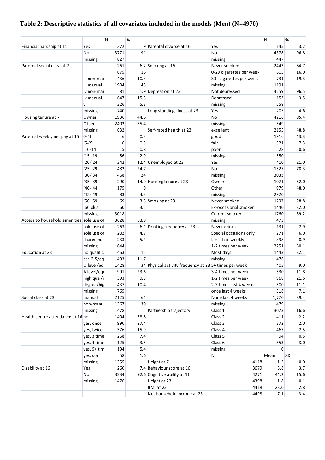# **Table 2: Descriptive statistics of all covariates included in the models (Men) (N=4970)**

|                                           |                    | N    | %          |                                                        |                          | Ν          | %         |
|-------------------------------------------|--------------------|------|------------|--------------------------------------------------------|--------------------------|------------|-----------|
| Financial hardship at 11                  | Yes                | 372  |            | 9 Parental divorce at 16                               | Yes                      | 145        | 3.2       |
|                                           | No                 | 3771 | 91         |                                                        | <b>No</b>                | 4378       | 96.8      |
|                                           | missing            | 827  |            |                                                        | missing                  | 447        |           |
| Paternal social class at 7                | i.                 | 261  |            | 6.2 Smoking at 16                                      | Never smoked             | 2443       | 64.7      |
|                                           | ii.                | 675  | 16         |                                                        | 0-29 cigarettes per week | 605        | 16.0      |
|                                           | iii non-mai        | 436  | 10.3       |                                                        | 30+ cigarettes per week  | 731        | 19.3      |
|                                           | iii manual         | 1904 | 45         |                                                        | missing                  | 1191       |           |
|                                           | iv non-mai         | 81   |            | 1.9 Depression at 23                                   | Not depressed            | 4259       | 96.5      |
|                                           | iv manual          | 647  | 15.3       |                                                        | Depressed                | 153        | 3.5       |
|                                           | v                  | 226  | 5.3        |                                                        | missing                  | 558        |           |
|                                           | missing            | 740  |            | Long standing illness at 23                            | Yes                      | 205        | 4.6       |
| Housing tenure at 7                       | Owner              | 1936 | 44.6       |                                                        | No                       | 4216       | 95.4      |
|                                           | Other              | 2402 | 55.4       |                                                        | missing                  | 549        |           |
|                                           |                    | 632  |            | Self-rated health at 23                                | excellent                | 2155       | 48.8      |
|                                           | missing<br>$0 - 4$ | 6    | 0.3        |                                                        |                          | 1916       | 43.3      |
| Paternal weekly net pay at 16             | `5-`9              |      | 0.3        |                                                        | good<br>fair             |            | 7.3       |
|                                           | $10-14$            | 6    |            |                                                        |                          | 321<br>28  | 0.6       |
|                                           | $15-19$            | 15   | 0.8<br>2.9 |                                                        | poor                     |            |           |
|                                           | $20-24$            | 56   |            |                                                        | missing                  | 550<br>410 |           |
|                                           |                    | 242  |            | 12.4 Unemployed at 23                                  | Yes                      |            | 21.0      |
|                                           | `25-`29            | 482  | 24.7       |                                                        | <b>No</b>                | 1527       | 78.3      |
|                                           | $30-34$            | 468  | 24         |                                                        | missing                  | 3033       |           |
|                                           | $35-39$            | 290  |            | 14.9 Housing tenure at 23                              | Owner                    | 1071       | 52.0      |
|                                           | `40-`44            | 175  | 9          |                                                        | Other                    | 979        | 48.0      |
|                                           | `45-`49            | 83   | 4.3        |                                                        | missing                  | 2920       |           |
|                                           | `50-`59            | 69   |            | 3.5 Smoking at 23                                      | Never smoked             | 1297       | 28.8      |
|                                           | `60 plus           | 60   | 3.1        |                                                        | Ex-occasional smoker     | 1440       | 32.0      |
|                                           | missing            | 3018 |            |                                                        | Current smoker           | 1760       | 39.2      |
| Access to household amenities sole use of |                    | 3628 | 83.9       |                                                        | missing                  | 473        |           |
|                                           | sole use of        | 263  |            | 6.1 Drinking frequency at 23                           | Never drinks             | 131        | 2.9       |
|                                           | sole use of        | 202  | 4.7        |                                                        | Special occasions only   | 271        | $6.0$     |
|                                           | shared no          | 233  | 5.4        |                                                        | Less than weekly         | 398        | 8.9       |
|                                           | missing            | 644  |            |                                                        | 1-2 times per week       | 2251       | 50.1      |
| Education at 23                           | no qualific        | 463  | 11         |                                                        | Most days                | 1443       | 32.1      |
|                                           | $cse$ 2-5/eq       | 493  | 11.7       |                                                        | missing                  | 476        |           |
|                                           | O level/eg         | 1428 |            | 34 Physical activity frequency at 23 5+ times per week |                          | 405        | 9.0       |
|                                           | A level/equ        | 991  | 23.6       |                                                        | 3-4 times per week       | 530        | 11.8      |
|                                           | high qual/r        | 393  | 9.3        |                                                        | 1-2 times per week       | 968        | 21.6      |
|                                           | degree/hig         | 437  | 10.4       |                                                        | 2-3 times last 4 weeks   | 500        | 11.1      |
|                                           | missing            | 765  |            |                                                        | once last 4 weeks        | 318        | 7.1       |
| Social class at 23                        | manual             | 2125 | 61         |                                                        | None last 4 weeks        | 1,770      | 39.4      |
|                                           | non-manu           | 1367 | 39         |                                                        | missing                  | 479        |           |
|                                           | missing            | 1478 |            | Partnership trajectory                                 | Class 1                  | 3073       | 16.6      |
| Health centre attendance at 16 no         |                    | 1404 | 38.8       |                                                        | Class 2                  | 411        | 2.2       |
|                                           | yes, once          | 990  | 27.4       |                                                        | Class 3                  | 372        | 2.0       |
|                                           | yes, twice         | 576  | 15.9       |                                                        | Class 4                  | 467        | 2.5       |
|                                           | yes, 3 time        | 268  | 7.4        |                                                        | Class 5                  | 94         | 0.5       |
|                                           | yes, 4 time        | 125  | 3.5        |                                                        | Class 6                  | 553        | 3.0       |
|                                           | yes, 5+ tim        | 194  | 5.4        |                                                        | missing                  | $\Omega$   |           |
|                                           | yes, don't l       | 58   | 1.6        |                                                        | N                        | Mean       | <b>SD</b> |
|                                           | missing            | 1355 |            | Height at 7                                            | 4118                     | 1.2        | 0.0       |
| Disability at 16                          | Yes                | 260  |            | 7.4 Behaviour score at 16                              | 3679                     | 3.8        | 3.7       |
|                                           | No                 | 3234 |            | 92.6 Cognitive ability at 11                           | 4271                     | 44.2       | 15.6      |
|                                           | missing            | 1476 |            | Height at 23                                           | 4398                     | 1.8        | 0.1       |
|                                           |                    |      |            | BMI at 23                                              | 4418                     | 23.0       | 2.8       |
|                                           |                    |      |            | Net household income at 23                             | 4498                     | 7.1        | 3.4       |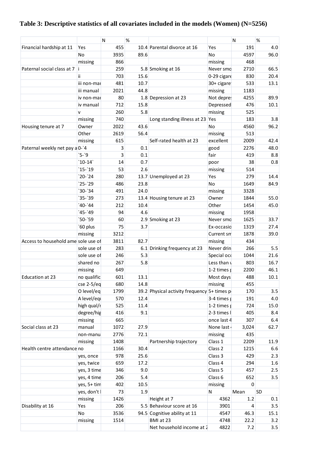# **Table 3: Descriptive statistics of all covariates included in the models (Women) (N=5256)**

| 455<br>10.4 Parental divorce at 16<br>191<br>4.0<br>Financial hardship at 11<br>Yes<br>Yes<br>No<br>3935<br>No<br>4597<br>96.0<br>89.6<br>866<br>468<br>missing<br>missing<br>Paternal social class at 7<br>259<br>2710<br>66.5<br>i.<br>5.8 Smoking at 16<br>Never smd<br>703<br>15.6<br>20.4<br>0-29 cigare<br>830<br>ii.<br>10.7<br>481<br>30+ cigare<br>533<br>13.1<br>iii non-mai<br>2021<br>44.8<br>1183<br>iii manual<br>missing<br>80<br>Not depre:<br>4255<br>89.9<br>1.8 Depression at 23<br>iv non-mai<br>476<br>712<br>15.8<br>Depressed<br>10.1<br>iv manual<br>5.8<br>260<br>missing<br>525<br>v<br>740<br>Long standing illness at 23<br>183<br>3.8<br>Yes<br>missing<br>2022<br>43.6<br><b>No</b><br>4560<br>96.2<br>Owner<br>Housing tenure at 7<br>Other<br>2619<br>56.4<br>513<br>missing<br>615<br>Self-rated health at 23<br>excellent<br>2009<br>42.4<br>missing<br>Paternal weekly net pay a 0-'4<br>3<br>0.1<br>2276<br>48.0<br>good<br>$5-9$<br>3<br>0.1<br>fair<br>8.8<br>419<br>$10-14$<br>14<br>0.7<br>38<br>0.8<br>poor<br>`15-`19<br>53<br>2.6<br>514<br>missing<br>$20-24$<br>280<br>13.7 Unemployed at 23<br>279<br>Yes<br>14.4<br>$25 - 29$<br>No<br>486<br>23.8<br>1649<br>84.9<br>$30-34$<br>24.0<br>491<br>3328<br>missing<br>$35-39$<br>273<br>1844<br>55.0<br>13.4 Housing tenure at 23<br>Owner<br>$'40-44$<br>212<br>10.4<br>Other<br>1454<br>45.0<br>`45-`49<br>94<br>4.6<br>1958<br>missing<br>`50-`59<br>1625<br>60<br>33.7<br>2.9 Smoking at 23<br>Never smo<br>75<br>`60 plus<br>3.7<br>1319<br>27.4<br>Ex-occasio<br>3212<br>1878<br>39.0<br>missing<br>Current sm<br>Access to household ame sole use of<br>3811<br>82.7<br>434<br>missing<br>283<br>Never drin<br>266<br>5.5<br>sole use of<br>6.1 Drinking frequency at 23<br>246<br>5.3<br>Special occ<br>1044<br>21.6<br>sole use of<br>16.7<br>shared no<br>267<br>5.8<br>Less than $\sqrt{ }$<br>803<br>46.1<br>649<br>1-2 times $\mu$<br>2200<br>missing<br>601<br>no qualific<br>13.1<br>488<br>10.1<br>Education at 23<br>Most days<br>$cse$ 2-5/eq<br>680<br>14.8<br>455<br>missing<br>O level/eq<br>1799<br>39.2 Physical activity frequency 5+ times p<br>170<br>3.5<br>570<br>191<br>4.0<br>A level/equ<br>12.4<br>3-4 times $\mathbf{r}$<br>high qual/r<br>11.4<br>525<br>1-2 times $\mu$<br>724<br>15.0<br>degree/hig<br>416<br>9.1<br>$2-3$ times $ $<br>405<br>8.4<br>665<br>once last 4<br>307<br>6.4<br>missing<br>Social class at 23<br>1072<br>None last<br>manual<br>27.9<br>3,024<br>62.7<br>2776<br>72.1<br>435<br>missing<br>non-manu<br>Class 1<br>1408<br>Partnership trajectory<br>2209<br>11.9<br>missing<br>30.4<br>Class 2<br>Health centre attendance no<br>1166<br>1215<br>6.6<br>Class 3<br>978<br>25.6<br>429<br>2.3<br>yes, once<br>Class 4<br>659<br>17.2<br>294<br>1.6<br>yes, twice<br>346<br>9.0<br>Class 5<br>457<br>2.5<br>yes, 3 time<br>Class 6<br>206<br>5.4<br>652<br>3.5<br>yes, 4 time<br>10.5<br>402<br>$\mathbf 0$<br>yes, 5+ tim<br>missing<br>yes, don't  <br>73<br>1.9<br>N<br>Mean<br>SD<br>4362<br>1.2<br>0.1<br>missing<br>1426<br>Height at 7<br>206<br>5.5 Behaviour score at 16<br>3901<br>3.5<br>Disability at 16<br>Yes<br>4<br>3536<br>15.1<br>No<br>94.5 Cognitive ability at 11<br>4547<br>46.3<br>22.2<br>1514<br>BMI at 23<br>4748<br>3.2<br>missing<br>Net household income at 2<br>4822<br>7.2<br>3.5 |  | N | $\%$ |  | N | $\%$ |
|--------------------------------------------------------------------------------------------------------------------------------------------------------------------------------------------------------------------------------------------------------------------------------------------------------------------------------------------------------------------------------------------------------------------------------------------------------------------------------------------------------------------------------------------------------------------------------------------------------------------------------------------------------------------------------------------------------------------------------------------------------------------------------------------------------------------------------------------------------------------------------------------------------------------------------------------------------------------------------------------------------------------------------------------------------------------------------------------------------------------------------------------------------------------------------------------------------------------------------------------------------------------------------------------------------------------------------------------------------------------------------------------------------------------------------------------------------------------------------------------------------------------------------------------------------------------------------------------------------------------------------------------------------------------------------------------------------------------------------------------------------------------------------------------------------------------------------------------------------------------------------------------------------------------------------------------------------------------------------------------------------------------------------------------------------------------------------------------------------------------------------------------------------------------------------------------------------------------------------------------------------------------------------------------------------------------------------------------------------------------------------------------------------------------------------------------------------------------------------------------------------------------------------------------------------------------------------------------------------------------------------------------------------------------------------------------------------------------------------------------------------------------------------------------------------------------------------------------------------------------------------------------------------------------------------------------------------------------------------------------------------------------------------------------------------------------------------------------------------------------------------------------------------------------------------------------------------------------------------------------------------------------------------------------------------------------------------------------------------------------------|--|---|------|--|---|------|
|                                                                                                                                                                                                                                                                                                                                                                                                                                                                                                                                                                                                                                                                                                                                                                                                                                                                                                                                                                                                                                                                                                                                                                                                                                                                                                                                                                                                                                                                                                                                                                                                                                                                                                                                                                                                                                                                                                                                                                                                                                                                                                                                                                                                                                                                                                                                                                                                                                                                                                                                                                                                                                                                                                                                                                                                                                                                                                                                                                                                                                                                                                                                                                                                                                                                                                                                                                          |  |   |      |  |   |      |
|                                                                                                                                                                                                                                                                                                                                                                                                                                                                                                                                                                                                                                                                                                                                                                                                                                                                                                                                                                                                                                                                                                                                                                                                                                                                                                                                                                                                                                                                                                                                                                                                                                                                                                                                                                                                                                                                                                                                                                                                                                                                                                                                                                                                                                                                                                                                                                                                                                                                                                                                                                                                                                                                                                                                                                                                                                                                                                                                                                                                                                                                                                                                                                                                                                                                                                                                                                          |  |   |      |  |   |      |
|                                                                                                                                                                                                                                                                                                                                                                                                                                                                                                                                                                                                                                                                                                                                                                                                                                                                                                                                                                                                                                                                                                                                                                                                                                                                                                                                                                                                                                                                                                                                                                                                                                                                                                                                                                                                                                                                                                                                                                                                                                                                                                                                                                                                                                                                                                                                                                                                                                                                                                                                                                                                                                                                                                                                                                                                                                                                                                                                                                                                                                                                                                                                                                                                                                                                                                                                                                          |  |   |      |  |   |      |
|                                                                                                                                                                                                                                                                                                                                                                                                                                                                                                                                                                                                                                                                                                                                                                                                                                                                                                                                                                                                                                                                                                                                                                                                                                                                                                                                                                                                                                                                                                                                                                                                                                                                                                                                                                                                                                                                                                                                                                                                                                                                                                                                                                                                                                                                                                                                                                                                                                                                                                                                                                                                                                                                                                                                                                                                                                                                                                                                                                                                                                                                                                                                                                                                                                                                                                                                                                          |  |   |      |  |   |      |
|                                                                                                                                                                                                                                                                                                                                                                                                                                                                                                                                                                                                                                                                                                                                                                                                                                                                                                                                                                                                                                                                                                                                                                                                                                                                                                                                                                                                                                                                                                                                                                                                                                                                                                                                                                                                                                                                                                                                                                                                                                                                                                                                                                                                                                                                                                                                                                                                                                                                                                                                                                                                                                                                                                                                                                                                                                                                                                                                                                                                                                                                                                                                                                                                                                                                                                                                                                          |  |   |      |  |   |      |
|                                                                                                                                                                                                                                                                                                                                                                                                                                                                                                                                                                                                                                                                                                                                                                                                                                                                                                                                                                                                                                                                                                                                                                                                                                                                                                                                                                                                                                                                                                                                                                                                                                                                                                                                                                                                                                                                                                                                                                                                                                                                                                                                                                                                                                                                                                                                                                                                                                                                                                                                                                                                                                                                                                                                                                                                                                                                                                                                                                                                                                                                                                                                                                                                                                                                                                                                                                          |  |   |      |  |   |      |
|                                                                                                                                                                                                                                                                                                                                                                                                                                                                                                                                                                                                                                                                                                                                                                                                                                                                                                                                                                                                                                                                                                                                                                                                                                                                                                                                                                                                                                                                                                                                                                                                                                                                                                                                                                                                                                                                                                                                                                                                                                                                                                                                                                                                                                                                                                                                                                                                                                                                                                                                                                                                                                                                                                                                                                                                                                                                                                                                                                                                                                                                                                                                                                                                                                                                                                                                                                          |  |   |      |  |   |      |
|                                                                                                                                                                                                                                                                                                                                                                                                                                                                                                                                                                                                                                                                                                                                                                                                                                                                                                                                                                                                                                                                                                                                                                                                                                                                                                                                                                                                                                                                                                                                                                                                                                                                                                                                                                                                                                                                                                                                                                                                                                                                                                                                                                                                                                                                                                                                                                                                                                                                                                                                                                                                                                                                                                                                                                                                                                                                                                                                                                                                                                                                                                                                                                                                                                                                                                                                                                          |  |   |      |  |   |      |
|                                                                                                                                                                                                                                                                                                                                                                                                                                                                                                                                                                                                                                                                                                                                                                                                                                                                                                                                                                                                                                                                                                                                                                                                                                                                                                                                                                                                                                                                                                                                                                                                                                                                                                                                                                                                                                                                                                                                                                                                                                                                                                                                                                                                                                                                                                                                                                                                                                                                                                                                                                                                                                                                                                                                                                                                                                                                                                                                                                                                                                                                                                                                                                                                                                                                                                                                                                          |  |   |      |  |   |      |
|                                                                                                                                                                                                                                                                                                                                                                                                                                                                                                                                                                                                                                                                                                                                                                                                                                                                                                                                                                                                                                                                                                                                                                                                                                                                                                                                                                                                                                                                                                                                                                                                                                                                                                                                                                                                                                                                                                                                                                                                                                                                                                                                                                                                                                                                                                                                                                                                                                                                                                                                                                                                                                                                                                                                                                                                                                                                                                                                                                                                                                                                                                                                                                                                                                                                                                                                                                          |  |   |      |  |   |      |
|                                                                                                                                                                                                                                                                                                                                                                                                                                                                                                                                                                                                                                                                                                                                                                                                                                                                                                                                                                                                                                                                                                                                                                                                                                                                                                                                                                                                                                                                                                                                                                                                                                                                                                                                                                                                                                                                                                                                                                                                                                                                                                                                                                                                                                                                                                                                                                                                                                                                                                                                                                                                                                                                                                                                                                                                                                                                                                                                                                                                                                                                                                                                                                                                                                                                                                                                                                          |  |   |      |  |   |      |
|                                                                                                                                                                                                                                                                                                                                                                                                                                                                                                                                                                                                                                                                                                                                                                                                                                                                                                                                                                                                                                                                                                                                                                                                                                                                                                                                                                                                                                                                                                                                                                                                                                                                                                                                                                                                                                                                                                                                                                                                                                                                                                                                                                                                                                                                                                                                                                                                                                                                                                                                                                                                                                                                                                                                                                                                                                                                                                                                                                                                                                                                                                                                                                                                                                                                                                                                                                          |  |   |      |  |   |      |
|                                                                                                                                                                                                                                                                                                                                                                                                                                                                                                                                                                                                                                                                                                                                                                                                                                                                                                                                                                                                                                                                                                                                                                                                                                                                                                                                                                                                                                                                                                                                                                                                                                                                                                                                                                                                                                                                                                                                                                                                                                                                                                                                                                                                                                                                                                                                                                                                                                                                                                                                                                                                                                                                                                                                                                                                                                                                                                                                                                                                                                                                                                                                                                                                                                                                                                                                                                          |  |   |      |  |   |      |
|                                                                                                                                                                                                                                                                                                                                                                                                                                                                                                                                                                                                                                                                                                                                                                                                                                                                                                                                                                                                                                                                                                                                                                                                                                                                                                                                                                                                                                                                                                                                                                                                                                                                                                                                                                                                                                                                                                                                                                                                                                                                                                                                                                                                                                                                                                                                                                                                                                                                                                                                                                                                                                                                                                                                                                                                                                                                                                                                                                                                                                                                                                                                                                                                                                                                                                                                                                          |  |   |      |  |   |      |
|                                                                                                                                                                                                                                                                                                                                                                                                                                                                                                                                                                                                                                                                                                                                                                                                                                                                                                                                                                                                                                                                                                                                                                                                                                                                                                                                                                                                                                                                                                                                                                                                                                                                                                                                                                                                                                                                                                                                                                                                                                                                                                                                                                                                                                                                                                                                                                                                                                                                                                                                                                                                                                                                                                                                                                                                                                                                                                                                                                                                                                                                                                                                                                                                                                                                                                                                                                          |  |   |      |  |   |      |
|                                                                                                                                                                                                                                                                                                                                                                                                                                                                                                                                                                                                                                                                                                                                                                                                                                                                                                                                                                                                                                                                                                                                                                                                                                                                                                                                                                                                                                                                                                                                                                                                                                                                                                                                                                                                                                                                                                                                                                                                                                                                                                                                                                                                                                                                                                                                                                                                                                                                                                                                                                                                                                                                                                                                                                                                                                                                                                                                                                                                                                                                                                                                                                                                                                                                                                                                                                          |  |   |      |  |   |      |
|                                                                                                                                                                                                                                                                                                                                                                                                                                                                                                                                                                                                                                                                                                                                                                                                                                                                                                                                                                                                                                                                                                                                                                                                                                                                                                                                                                                                                                                                                                                                                                                                                                                                                                                                                                                                                                                                                                                                                                                                                                                                                                                                                                                                                                                                                                                                                                                                                                                                                                                                                                                                                                                                                                                                                                                                                                                                                                                                                                                                                                                                                                                                                                                                                                                                                                                                                                          |  |   |      |  |   |      |
|                                                                                                                                                                                                                                                                                                                                                                                                                                                                                                                                                                                                                                                                                                                                                                                                                                                                                                                                                                                                                                                                                                                                                                                                                                                                                                                                                                                                                                                                                                                                                                                                                                                                                                                                                                                                                                                                                                                                                                                                                                                                                                                                                                                                                                                                                                                                                                                                                                                                                                                                                                                                                                                                                                                                                                                                                                                                                                                                                                                                                                                                                                                                                                                                                                                                                                                                                                          |  |   |      |  |   |      |
|                                                                                                                                                                                                                                                                                                                                                                                                                                                                                                                                                                                                                                                                                                                                                                                                                                                                                                                                                                                                                                                                                                                                                                                                                                                                                                                                                                                                                                                                                                                                                                                                                                                                                                                                                                                                                                                                                                                                                                                                                                                                                                                                                                                                                                                                                                                                                                                                                                                                                                                                                                                                                                                                                                                                                                                                                                                                                                                                                                                                                                                                                                                                                                                                                                                                                                                                                                          |  |   |      |  |   |      |
|                                                                                                                                                                                                                                                                                                                                                                                                                                                                                                                                                                                                                                                                                                                                                                                                                                                                                                                                                                                                                                                                                                                                                                                                                                                                                                                                                                                                                                                                                                                                                                                                                                                                                                                                                                                                                                                                                                                                                                                                                                                                                                                                                                                                                                                                                                                                                                                                                                                                                                                                                                                                                                                                                                                                                                                                                                                                                                                                                                                                                                                                                                                                                                                                                                                                                                                                                                          |  |   |      |  |   |      |
|                                                                                                                                                                                                                                                                                                                                                                                                                                                                                                                                                                                                                                                                                                                                                                                                                                                                                                                                                                                                                                                                                                                                                                                                                                                                                                                                                                                                                                                                                                                                                                                                                                                                                                                                                                                                                                                                                                                                                                                                                                                                                                                                                                                                                                                                                                                                                                                                                                                                                                                                                                                                                                                                                                                                                                                                                                                                                                                                                                                                                                                                                                                                                                                                                                                                                                                                                                          |  |   |      |  |   |      |
|                                                                                                                                                                                                                                                                                                                                                                                                                                                                                                                                                                                                                                                                                                                                                                                                                                                                                                                                                                                                                                                                                                                                                                                                                                                                                                                                                                                                                                                                                                                                                                                                                                                                                                                                                                                                                                                                                                                                                                                                                                                                                                                                                                                                                                                                                                                                                                                                                                                                                                                                                                                                                                                                                                                                                                                                                                                                                                                                                                                                                                                                                                                                                                                                                                                                                                                                                                          |  |   |      |  |   |      |
|                                                                                                                                                                                                                                                                                                                                                                                                                                                                                                                                                                                                                                                                                                                                                                                                                                                                                                                                                                                                                                                                                                                                                                                                                                                                                                                                                                                                                                                                                                                                                                                                                                                                                                                                                                                                                                                                                                                                                                                                                                                                                                                                                                                                                                                                                                                                                                                                                                                                                                                                                                                                                                                                                                                                                                                                                                                                                                                                                                                                                                                                                                                                                                                                                                                                                                                                                                          |  |   |      |  |   |      |
|                                                                                                                                                                                                                                                                                                                                                                                                                                                                                                                                                                                                                                                                                                                                                                                                                                                                                                                                                                                                                                                                                                                                                                                                                                                                                                                                                                                                                                                                                                                                                                                                                                                                                                                                                                                                                                                                                                                                                                                                                                                                                                                                                                                                                                                                                                                                                                                                                                                                                                                                                                                                                                                                                                                                                                                                                                                                                                                                                                                                                                                                                                                                                                                                                                                                                                                                                                          |  |   |      |  |   |      |
|                                                                                                                                                                                                                                                                                                                                                                                                                                                                                                                                                                                                                                                                                                                                                                                                                                                                                                                                                                                                                                                                                                                                                                                                                                                                                                                                                                                                                                                                                                                                                                                                                                                                                                                                                                                                                                                                                                                                                                                                                                                                                                                                                                                                                                                                                                                                                                                                                                                                                                                                                                                                                                                                                                                                                                                                                                                                                                                                                                                                                                                                                                                                                                                                                                                                                                                                                                          |  |   |      |  |   |      |
|                                                                                                                                                                                                                                                                                                                                                                                                                                                                                                                                                                                                                                                                                                                                                                                                                                                                                                                                                                                                                                                                                                                                                                                                                                                                                                                                                                                                                                                                                                                                                                                                                                                                                                                                                                                                                                                                                                                                                                                                                                                                                                                                                                                                                                                                                                                                                                                                                                                                                                                                                                                                                                                                                                                                                                                                                                                                                                                                                                                                                                                                                                                                                                                                                                                                                                                                                                          |  |   |      |  |   |      |
|                                                                                                                                                                                                                                                                                                                                                                                                                                                                                                                                                                                                                                                                                                                                                                                                                                                                                                                                                                                                                                                                                                                                                                                                                                                                                                                                                                                                                                                                                                                                                                                                                                                                                                                                                                                                                                                                                                                                                                                                                                                                                                                                                                                                                                                                                                                                                                                                                                                                                                                                                                                                                                                                                                                                                                                                                                                                                                                                                                                                                                                                                                                                                                                                                                                                                                                                                                          |  |   |      |  |   |      |
|                                                                                                                                                                                                                                                                                                                                                                                                                                                                                                                                                                                                                                                                                                                                                                                                                                                                                                                                                                                                                                                                                                                                                                                                                                                                                                                                                                                                                                                                                                                                                                                                                                                                                                                                                                                                                                                                                                                                                                                                                                                                                                                                                                                                                                                                                                                                                                                                                                                                                                                                                                                                                                                                                                                                                                                                                                                                                                                                                                                                                                                                                                                                                                                                                                                                                                                                                                          |  |   |      |  |   |      |
|                                                                                                                                                                                                                                                                                                                                                                                                                                                                                                                                                                                                                                                                                                                                                                                                                                                                                                                                                                                                                                                                                                                                                                                                                                                                                                                                                                                                                                                                                                                                                                                                                                                                                                                                                                                                                                                                                                                                                                                                                                                                                                                                                                                                                                                                                                                                                                                                                                                                                                                                                                                                                                                                                                                                                                                                                                                                                                                                                                                                                                                                                                                                                                                                                                                                                                                                                                          |  |   |      |  |   |      |
|                                                                                                                                                                                                                                                                                                                                                                                                                                                                                                                                                                                                                                                                                                                                                                                                                                                                                                                                                                                                                                                                                                                                                                                                                                                                                                                                                                                                                                                                                                                                                                                                                                                                                                                                                                                                                                                                                                                                                                                                                                                                                                                                                                                                                                                                                                                                                                                                                                                                                                                                                                                                                                                                                                                                                                                                                                                                                                                                                                                                                                                                                                                                                                                                                                                                                                                                                                          |  |   |      |  |   |      |
|                                                                                                                                                                                                                                                                                                                                                                                                                                                                                                                                                                                                                                                                                                                                                                                                                                                                                                                                                                                                                                                                                                                                                                                                                                                                                                                                                                                                                                                                                                                                                                                                                                                                                                                                                                                                                                                                                                                                                                                                                                                                                                                                                                                                                                                                                                                                                                                                                                                                                                                                                                                                                                                                                                                                                                                                                                                                                                                                                                                                                                                                                                                                                                                                                                                                                                                                                                          |  |   |      |  |   |      |
|                                                                                                                                                                                                                                                                                                                                                                                                                                                                                                                                                                                                                                                                                                                                                                                                                                                                                                                                                                                                                                                                                                                                                                                                                                                                                                                                                                                                                                                                                                                                                                                                                                                                                                                                                                                                                                                                                                                                                                                                                                                                                                                                                                                                                                                                                                                                                                                                                                                                                                                                                                                                                                                                                                                                                                                                                                                                                                                                                                                                                                                                                                                                                                                                                                                                                                                                                                          |  |   |      |  |   |      |
|                                                                                                                                                                                                                                                                                                                                                                                                                                                                                                                                                                                                                                                                                                                                                                                                                                                                                                                                                                                                                                                                                                                                                                                                                                                                                                                                                                                                                                                                                                                                                                                                                                                                                                                                                                                                                                                                                                                                                                                                                                                                                                                                                                                                                                                                                                                                                                                                                                                                                                                                                                                                                                                                                                                                                                                                                                                                                                                                                                                                                                                                                                                                                                                                                                                                                                                                                                          |  |   |      |  |   |      |
|                                                                                                                                                                                                                                                                                                                                                                                                                                                                                                                                                                                                                                                                                                                                                                                                                                                                                                                                                                                                                                                                                                                                                                                                                                                                                                                                                                                                                                                                                                                                                                                                                                                                                                                                                                                                                                                                                                                                                                                                                                                                                                                                                                                                                                                                                                                                                                                                                                                                                                                                                                                                                                                                                                                                                                                                                                                                                                                                                                                                                                                                                                                                                                                                                                                                                                                                                                          |  |   |      |  |   |      |
|                                                                                                                                                                                                                                                                                                                                                                                                                                                                                                                                                                                                                                                                                                                                                                                                                                                                                                                                                                                                                                                                                                                                                                                                                                                                                                                                                                                                                                                                                                                                                                                                                                                                                                                                                                                                                                                                                                                                                                                                                                                                                                                                                                                                                                                                                                                                                                                                                                                                                                                                                                                                                                                                                                                                                                                                                                                                                                                                                                                                                                                                                                                                                                                                                                                                                                                                                                          |  |   |      |  |   |      |
|                                                                                                                                                                                                                                                                                                                                                                                                                                                                                                                                                                                                                                                                                                                                                                                                                                                                                                                                                                                                                                                                                                                                                                                                                                                                                                                                                                                                                                                                                                                                                                                                                                                                                                                                                                                                                                                                                                                                                                                                                                                                                                                                                                                                                                                                                                                                                                                                                                                                                                                                                                                                                                                                                                                                                                                                                                                                                                                                                                                                                                                                                                                                                                                                                                                                                                                                                                          |  |   |      |  |   |      |
|                                                                                                                                                                                                                                                                                                                                                                                                                                                                                                                                                                                                                                                                                                                                                                                                                                                                                                                                                                                                                                                                                                                                                                                                                                                                                                                                                                                                                                                                                                                                                                                                                                                                                                                                                                                                                                                                                                                                                                                                                                                                                                                                                                                                                                                                                                                                                                                                                                                                                                                                                                                                                                                                                                                                                                                                                                                                                                                                                                                                                                                                                                                                                                                                                                                                                                                                                                          |  |   |      |  |   |      |
|                                                                                                                                                                                                                                                                                                                                                                                                                                                                                                                                                                                                                                                                                                                                                                                                                                                                                                                                                                                                                                                                                                                                                                                                                                                                                                                                                                                                                                                                                                                                                                                                                                                                                                                                                                                                                                                                                                                                                                                                                                                                                                                                                                                                                                                                                                                                                                                                                                                                                                                                                                                                                                                                                                                                                                                                                                                                                                                                                                                                                                                                                                                                                                                                                                                                                                                                                                          |  |   |      |  |   |      |
|                                                                                                                                                                                                                                                                                                                                                                                                                                                                                                                                                                                                                                                                                                                                                                                                                                                                                                                                                                                                                                                                                                                                                                                                                                                                                                                                                                                                                                                                                                                                                                                                                                                                                                                                                                                                                                                                                                                                                                                                                                                                                                                                                                                                                                                                                                                                                                                                                                                                                                                                                                                                                                                                                                                                                                                                                                                                                                                                                                                                                                                                                                                                                                                                                                                                                                                                                                          |  |   |      |  |   |      |
|                                                                                                                                                                                                                                                                                                                                                                                                                                                                                                                                                                                                                                                                                                                                                                                                                                                                                                                                                                                                                                                                                                                                                                                                                                                                                                                                                                                                                                                                                                                                                                                                                                                                                                                                                                                                                                                                                                                                                                                                                                                                                                                                                                                                                                                                                                                                                                                                                                                                                                                                                                                                                                                                                                                                                                                                                                                                                                                                                                                                                                                                                                                                                                                                                                                                                                                                                                          |  |   |      |  |   |      |
|                                                                                                                                                                                                                                                                                                                                                                                                                                                                                                                                                                                                                                                                                                                                                                                                                                                                                                                                                                                                                                                                                                                                                                                                                                                                                                                                                                                                                                                                                                                                                                                                                                                                                                                                                                                                                                                                                                                                                                                                                                                                                                                                                                                                                                                                                                                                                                                                                                                                                                                                                                                                                                                                                                                                                                                                                                                                                                                                                                                                                                                                                                                                                                                                                                                                                                                                                                          |  |   |      |  |   |      |
|                                                                                                                                                                                                                                                                                                                                                                                                                                                                                                                                                                                                                                                                                                                                                                                                                                                                                                                                                                                                                                                                                                                                                                                                                                                                                                                                                                                                                                                                                                                                                                                                                                                                                                                                                                                                                                                                                                                                                                                                                                                                                                                                                                                                                                                                                                                                                                                                                                                                                                                                                                                                                                                                                                                                                                                                                                                                                                                                                                                                                                                                                                                                                                                                                                                                                                                                                                          |  |   |      |  |   |      |
|                                                                                                                                                                                                                                                                                                                                                                                                                                                                                                                                                                                                                                                                                                                                                                                                                                                                                                                                                                                                                                                                                                                                                                                                                                                                                                                                                                                                                                                                                                                                                                                                                                                                                                                                                                                                                                                                                                                                                                                                                                                                                                                                                                                                                                                                                                                                                                                                                                                                                                                                                                                                                                                                                                                                                                                                                                                                                                                                                                                                                                                                                                                                                                                                                                                                                                                                                                          |  |   |      |  |   |      |
|                                                                                                                                                                                                                                                                                                                                                                                                                                                                                                                                                                                                                                                                                                                                                                                                                                                                                                                                                                                                                                                                                                                                                                                                                                                                                                                                                                                                                                                                                                                                                                                                                                                                                                                                                                                                                                                                                                                                                                                                                                                                                                                                                                                                                                                                                                                                                                                                                                                                                                                                                                                                                                                                                                                                                                                                                                                                                                                                                                                                                                                                                                                                                                                                                                                                                                                                                                          |  |   |      |  |   |      |
|                                                                                                                                                                                                                                                                                                                                                                                                                                                                                                                                                                                                                                                                                                                                                                                                                                                                                                                                                                                                                                                                                                                                                                                                                                                                                                                                                                                                                                                                                                                                                                                                                                                                                                                                                                                                                                                                                                                                                                                                                                                                                                                                                                                                                                                                                                                                                                                                                                                                                                                                                                                                                                                                                                                                                                                                                                                                                                                                                                                                                                                                                                                                                                                                                                                                                                                                                                          |  |   |      |  |   |      |
|                                                                                                                                                                                                                                                                                                                                                                                                                                                                                                                                                                                                                                                                                                                                                                                                                                                                                                                                                                                                                                                                                                                                                                                                                                                                                                                                                                                                                                                                                                                                                                                                                                                                                                                                                                                                                                                                                                                                                                                                                                                                                                                                                                                                                                                                                                                                                                                                                                                                                                                                                                                                                                                                                                                                                                                                                                                                                                                                                                                                                                                                                                                                                                                                                                                                                                                                                                          |  |   |      |  |   |      |
|                                                                                                                                                                                                                                                                                                                                                                                                                                                                                                                                                                                                                                                                                                                                                                                                                                                                                                                                                                                                                                                                                                                                                                                                                                                                                                                                                                                                                                                                                                                                                                                                                                                                                                                                                                                                                                                                                                                                                                                                                                                                                                                                                                                                                                                                                                                                                                                                                                                                                                                                                                                                                                                                                                                                                                                                                                                                                                                                                                                                                                                                                                                                                                                                                                                                                                                                                                          |  |   |      |  |   |      |
|                                                                                                                                                                                                                                                                                                                                                                                                                                                                                                                                                                                                                                                                                                                                                                                                                                                                                                                                                                                                                                                                                                                                                                                                                                                                                                                                                                                                                                                                                                                                                                                                                                                                                                                                                                                                                                                                                                                                                                                                                                                                                                                                                                                                                                                                                                                                                                                                                                                                                                                                                                                                                                                                                                                                                                                                                                                                                                                                                                                                                                                                                                                                                                                                                                                                                                                                                                          |  |   |      |  |   |      |
|                                                                                                                                                                                                                                                                                                                                                                                                                                                                                                                                                                                                                                                                                                                                                                                                                                                                                                                                                                                                                                                                                                                                                                                                                                                                                                                                                                                                                                                                                                                                                                                                                                                                                                                                                                                                                                                                                                                                                                                                                                                                                                                                                                                                                                                                                                                                                                                                                                                                                                                                                                                                                                                                                                                                                                                                                                                                                                                                                                                                                                                                                                                                                                                                                                                                                                                                                                          |  |   |      |  |   |      |
|                                                                                                                                                                                                                                                                                                                                                                                                                                                                                                                                                                                                                                                                                                                                                                                                                                                                                                                                                                                                                                                                                                                                                                                                                                                                                                                                                                                                                                                                                                                                                                                                                                                                                                                                                                                                                                                                                                                                                                                                                                                                                                                                                                                                                                                                                                                                                                                                                                                                                                                                                                                                                                                                                                                                                                                                                                                                                                                                                                                                                                                                                                                                                                                                                                                                                                                                                                          |  |   |      |  |   |      |
|                                                                                                                                                                                                                                                                                                                                                                                                                                                                                                                                                                                                                                                                                                                                                                                                                                                                                                                                                                                                                                                                                                                                                                                                                                                                                                                                                                                                                                                                                                                                                                                                                                                                                                                                                                                                                                                                                                                                                                                                                                                                                                                                                                                                                                                                                                                                                                                                                                                                                                                                                                                                                                                                                                                                                                                                                                                                                                                                                                                                                                                                                                                                                                                                                                                                                                                                                                          |  |   |      |  |   |      |
|                                                                                                                                                                                                                                                                                                                                                                                                                                                                                                                                                                                                                                                                                                                                                                                                                                                                                                                                                                                                                                                                                                                                                                                                                                                                                                                                                                                                                                                                                                                                                                                                                                                                                                                                                                                                                                                                                                                                                                                                                                                                                                                                                                                                                                                                                                                                                                                                                                                                                                                                                                                                                                                                                                                                                                                                                                                                                                                                                                                                                                                                                                                                                                                                                                                                                                                                                                          |  |   |      |  |   |      |
|                                                                                                                                                                                                                                                                                                                                                                                                                                                                                                                                                                                                                                                                                                                                                                                                                                                                                                                                                                                                                                                                                                                                                                                                                                                                                                                                                                                                                                                                                                                                                                                                                                                                                                                                                                                                                                                                                                                                                                                                                                                                                                                                                                                                                                                                                                                                                                                                                                                                                                                                                                                                                                                                                                                                                                                                                                                                                                                                                                                                                                                                                                                                                                                                                                                                                                                                                                          |  |   |      |  |   |      |
|                                                                                                                                                                                                                                                                                                                                                                                                                                                                                                                                                                                                                                                                                                                                                                                                                                                                                                                                                                                                                                                                                                                                                                                                                                                                                                                                                                                                                                                                                                                                                                                                                                                                                                                                                                                                                                                                                                                                                                                                                                                                                                                                                                                                                                                                                                                                                                                                                                                                                                                                                                                                                                                                                                                                                                                                                                                                                                                                                                                                                                                                                                                                                                                                                                                                                                                                                                          |  |   |      |  |   |      |
|                                                                                                                                                                                                                                                                                                                                                                                                                                                                                                                                                                                                                                                                                                                                                                                                                                                                                                                                                                                                                                                                                                                                                                                                                                                                                                                                                                                                                                                                                                                                                                                                                                                                                                                                                                                                                                                                                                                                                                                                                                                                                                                                                                                                                                                                                                                                                                                                                                                                                                                                                                                                                                                                                                                                                                                                                                                                                                                                                                                                                                                                                                                                                                                                                                                                                                                                                                          |  |   |      |  |   |      |